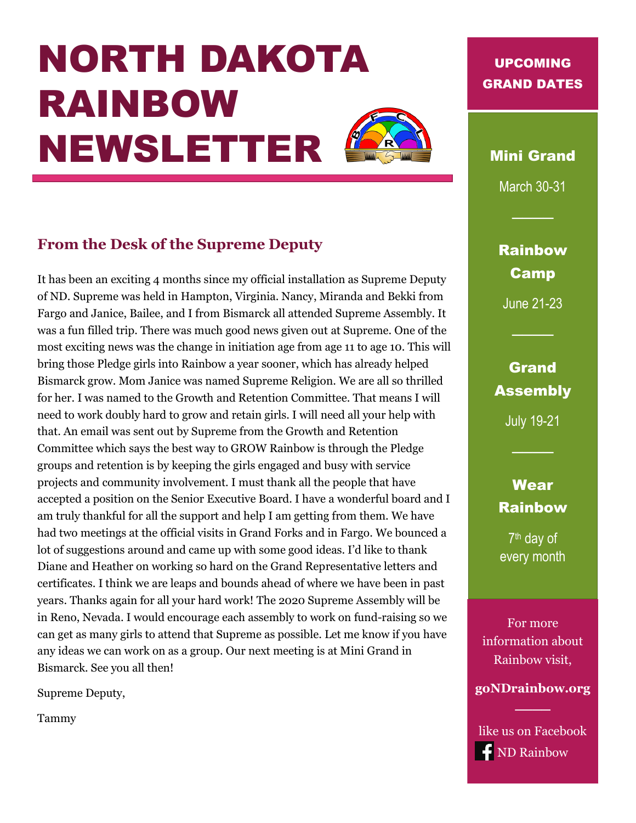# NORTH DAKOTA RAINBOW NEWSLETTER



## **From the Desk of the Supreme Deputy**

It has been an exciting 4 months since my official installation as Supreme Deputy of ND. Supreme was held in Hampton, Virginia. Nancy, Miranda and Bekki from Fargo and Janice, Bailee, and I from Bismarck all attended Supreme Assembly. It was a fun filled trip. There was much good news given out at Supreme. One of the most exciting news was the change in initiation age from age 11 to age 10. This will bring those Pledge girls into Rainbow a year sooner, which has already helped Bismarck grow. Mom Janice was named Supreme Religion. We are all so thrilled for her. I was named to the Growth and Retention Committee. That means I will need to work doubly hard to grow and retain girls. I will need all your help with that. An email was sent out by Supreme from the Growth and Retention Committee which says the best way to GROW Rainbow is through the Pledge groups and retention is by keeping the girls engaged and busy with service projects and community involvement. I must thank all the people that have accepted a position on the Senior Executive Board. I have a wonderful board and I am truly thankful for all the support and help I am getting from them. We have had two meetings at the official visits in Grand Forks and in Fargo. We bounced a lot of suggestions around and came up with some good ideas. I'd like to thank Diane and Heather on working so hard on the Grand Representative letters and certificates. I think we are leaps and bounds ahead of where we have been in past years. Thanks again for all your hard work! The 2020 Supreme Assembly will be in Reno, Nevada. I would encourage each assembly to work on fund-raising so we can get as many girls to attend that Supreme as possible. Let me know if you have any ideas we can work on as a group. Our next meeting is at Mini Grand in Bismarck. See you all then!

Supreme Deputy,

Tammy

### UPCOMING GRAND DATES

Mini Grand

March 30-31

Rainbow Camp

June 21-23

## Grand Assembly

July 19-21

## **Wear** Rainbow

7<sup>th</sup> day of every month

For more information about Rainbow visit,

**goNDrainbow.org**

────

like us on Facebook **f** ND Rainbow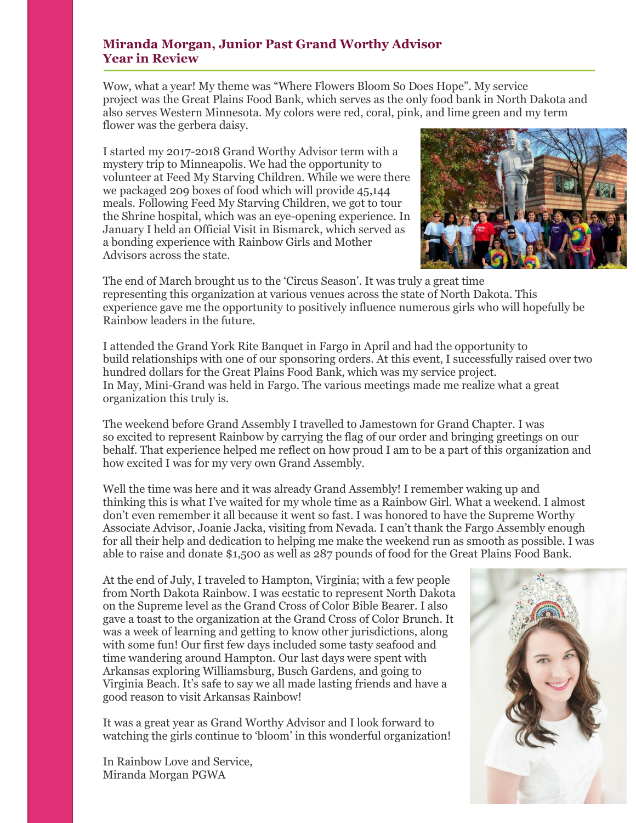#### **Miranda Morgan, Junior Past Grand Worthy Advisor Year in Review**

Wow, what a year! My theme was "Where Flowers Bloom So Does Hope". My service project was the Great Plains Food Bank, which serves as the only food bank in North Dakota and also serves Western Minnesota. My colors were red, coral, pink, and lime green and my term flower was the gerbera daisy.

I started my 2017-2018 Grand Worthy Advisor term with a mystery trip to Minneapolis. We had the opportunity to volunteer at Feed My Starving Children. While we were there we packaged 209 boxes of food which will provide 45,144 meals. Following Feed My Starving Children, we got to tour the Shrine hospital, which was an eye-opening experience. In January I held an Official Visit in Bismarck, which served as a bonding experience with Rainbow Girls and Mother Advisors across the state.



The end of March brought us to the 'Circus Season'. It was truly a great time representing this organization at various venues across the state of North Dakota. This experience gave me the opportunity to positively influence numerous girls who will hopefully be Rainbow leaders in the future.

I attended the Grand York Rite Banquet in Fargo in April and had the opportunity to build relationships with one of our sponsoring orders. At this event, I successfully raised over two hundred dollars for the Great Plains Food Bank, which was my service project. In May, Mini-Grand was held in Fargo. The various meetings made me realize what a great organization this truly is.

The weekend before Grand Assembly I travelled to Jamestown for Grand Chapter. I was so excited to represent Rainbow by carrying the flag of our order and bringing greetings on our behalf. That experience helped me reflect on how proud I am to be a part of this organization and how excited I was for my very own Grand Assembly.

Well the time was here and it was already Grand Assembly! I remember waking up and thinking this is what I've waited for my whole time as a Rainbow Girl. What a weekend. I almost don't even remember it all because it went so fast. I was honored to have the Supreme Worthy Associate Advisor, Joanie Jacka, visiting from Nevada. I can't thank the Fargo Assembly enough for all their help and dedication to helping me make the weekend run as smooth as possible. I was able to raise and donate \$1,500 as well as 287 pounds of food for the Great Plains Food Bank.

At the end of July, I traveled to Hampton, Virginia; with a few people from North Dakota Rainbow. I was ecstatic to represent North Dakota on the Supreme level as the Grand Cross of Color Bible Bearer. I also gave a toast to the organization at the Grand Cross of Color Brunch. It was a week of learning and getting to know other jurisdictions, along with some fun! Our first few days included some tasty seafood and time wandering around Hampton. Our last days were spent with Arkansas exploring Williamsburg, Busch Gardens, and going to Virginia Beach. It's safe to say we all made lasting friends and have a good reason to visit Arkansas Rainbow!

It was a great year as Grand Worthy Advisor and I look forward to watching the girls continue to 'bloom' in this wonderful organization!

In Rainbow Love and Service, Miranda Morgan PGWA

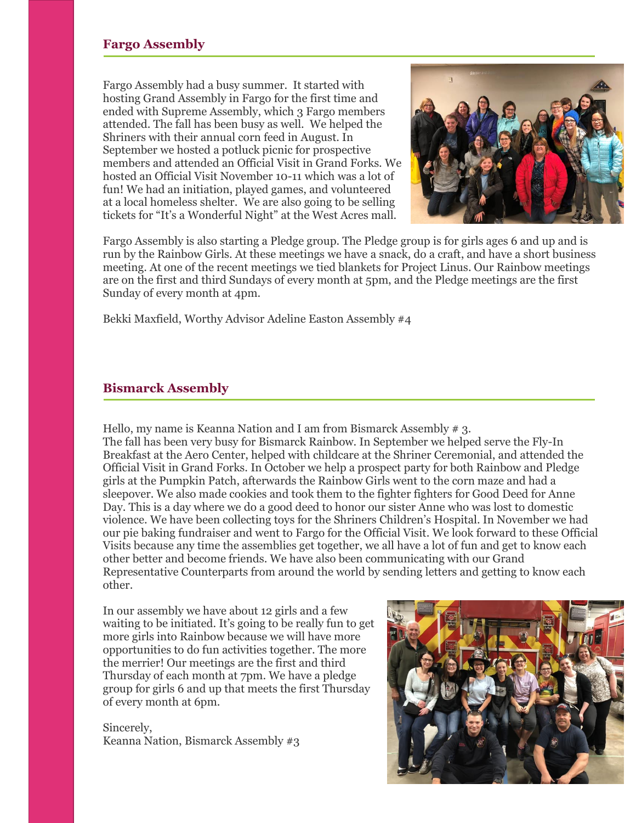Fargo Assembly had a busy summer. It started with hosting Grand Assembly in Fargo for the first time and ended with Supreme Assembly, which 3 Fargo members attended. The fall has been busy as well. We helped the Shriners with their annual corn feed in August. In September we hosted a potluck picnic for prospective members and attended an Official Visit in Grand Forks. We hosted an Official Visit November 10-11 which was a lot of fun! We had an initiation, played games, and volunteered at a local homeless shelter. We are also going to be selling tickets for "It's a Wonderful Night" at the West Acres mall.



Fargo Assembly is also starting a Pledge group. The Pledge group is for girls ages 6 and up and is run by the Rainbow Girls. At these meetings we have a snack, do a craft, and have a short business meeting. At one of the recent meetings we tied blankets for Project Linus. Our Rainbow meetings are on the first and third Sundays of every month at 5pm, and the Pledge meetings are the first Sunday of every month at 4pm.

Bekki Maxfield, Worthy Advisor Adeline Easton Assembly #4

#### **Bismarck Assembly**

Hello, my name is Keanna Nation and I am from Bismarck Assembly # 3. The fall has been very busy for Bismarck Rainbow. In September we helped serve the Fly-In Breakfast at the Aero Center, helped with childcare at the Shriner Ceremonial, and attended the Official Visit in Grand Forks. In October we help a prospect party for both Rainbow and Pledge girls at the Pumpkin Patch, afterwards the Rainbow Girls went to the corn maze and had a sleepover. We also made cookies and took them to the fighter fighters for Good Deed for Anne Day. This is a day where we do a good deed to honor our sister Anne who was lost to domestic violence. We have been collecting toys for the Shriners Children's Hospital. In November we had our pie baking fundraiser and went to Fargo for the Official Visit. We look forward to these Official Visits because any time the assemblies get together, we all have a lot of fun and get to know each other better and become friends. We have also been communicating with our Grand Representative Counterparts from around the world by sending letters and getting to know each other.

In our assembly we have about 12 girls and a few waiting to be initiated. It's going to be really fun to get more girls into Rainbow because we will have more opportunities to do fun activities together. The more the merrier! Our meetings are the first and third Thursday of each month at 7pm. We have a pledge group for girls 6 and up that meets the first Thursday of every month at 6pm.

Sincerely, Keanna Nation, Bismarck Assembly #3

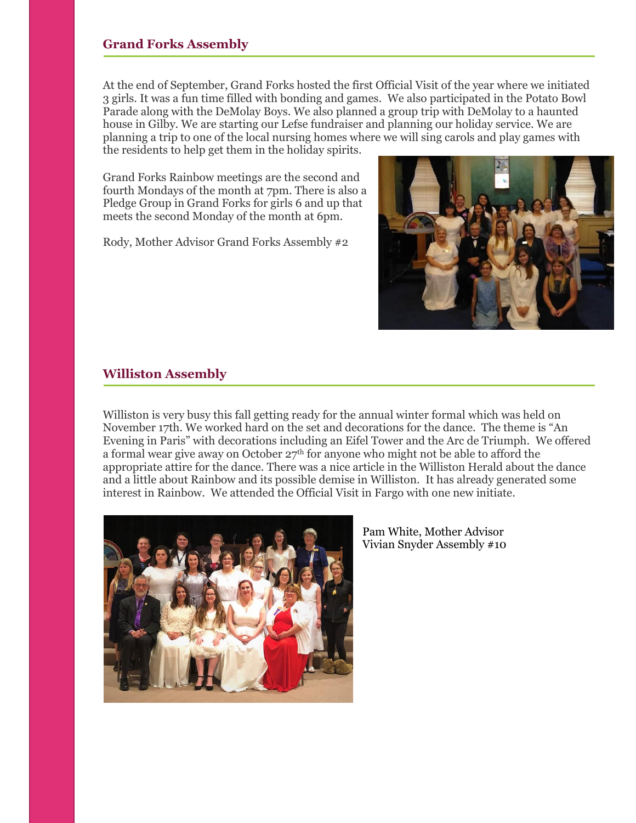#### **Grand Forks Assembly**

At the end of September, Grand Forks hosted the first Official Visit of the year where we initiated 3 girls. It was a fun time filled with bonding and games. We also participated in the Potato Bowl Parade along with the DeMolay Boys. We also planned a group trip with DeMolay to a haunted house in Gilby. We are starting our Lefse fundraiser and planning our holiday service. We are planning a trip to one of the local nursing homes where we will sing carols and play games with the residents to help get them in the holiday spirits.

Grand Forks Rainbow meetings are the second and fourth Mondays of the month at 7pm. There is also a Pledge Group in Grand Forks for girls 6 and up that meets the second Monday of the month at 6pm.

Rody, Mother Advisor Grand Forks Assembly #2



#### **Williston Assembly**

Williston is very busy this fall getting ready for the annual winter formal which was held on November 17th. We worked hard on the set and decorations for the dance. The theme is "An Evening in Paris" with decorations including an Eifel Tower and the Arc de Triumph. We offered a formal wear give away on October  $27<sup>th</sup>$  for anyone who might not be able to afford the appropriate attire for the dance. There was a nice article in the Williston Herald about the dance and a little about Rainbow and its possible demise in Williston. It has already generated some interest in Rainbow. We attended the Official Visit in Fargo with one new initiate.



Pam White, Mother Advisor Vivian Snyder Assembly #10